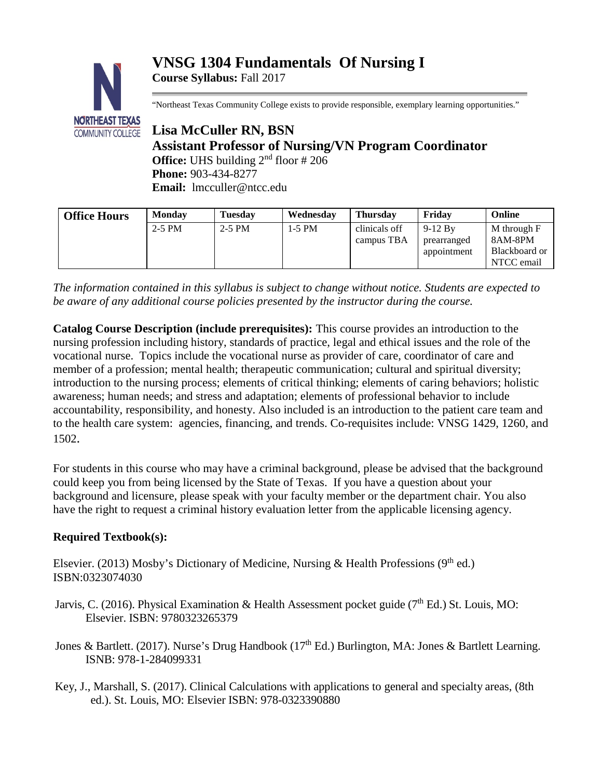# **VNSG 1304 Fundamentals Of Nursing I Course Syllabus:** Fall 2017



"Northeast Texas Community College exists to provide responsible, exemplary learning opportunities."

# **Lisa McCuller RN, BSN Assistant Professor of Nursing/VN Program Coordinator Office:** UHS building  $2<sup>nd</sup>$  floor # 206 **Phone:** 903-434-8277 **Email:** lmcculler@ntcc.edu

| <b>Office Hours</b> | <b>Monday</b> | <b>Tuesday</b> | Wednesday | <b>Thursday</b> | Fridav      | Online        |
|---------------------|---------------|----------------|-----------|-----------------|-------------|---------------|
|                     | $2-5$ PM      | $2-5$ PM       | 1-5 PM    | clinicals off   | $9-12 Bv$   | M through F   |
|                     |               |                |           | campus TBA      | prearranged | 8AM-8PM       |
|                     |               |                |           |                 | appointment | Blackboard or |
|                     |               |                |           |                 |             | NTCC email    |

*The information contained in this syllabus is subject to change without notice. Students are expected to be aware of any additional course policies presented by the instructor during the course.*

**Catalog Course Description (include prerequisites):** This course provides an introduction to the nursing profession including history, standards of practice, legal and ethical issues and the role of the vocational nurse. Topics include the vocational nurse as provider of care, coordinator of care and member of a profession; mental health; therapeutic communication; cultural and spiritual diversity; introduction to the nursing process; elements of critical thinking; elements of caring behaviors; holistic awareness; human needs; and stress and adaptation; elements of professional behavior to include accountability, responsibility, and honesty. Also included is an introduction to the patient care team and to the health care system: agencies, financing, and trends. Co-requisites include: VNSG 1429, 1260, and 1502.

For students in this course who may have a criminal background, please be advised that the background could keep you from being licensed by the State of Texas. If you have a question about your background and licensure, please speak with your faculty member or the department chair. You also have the right to request a criminal history evaluation letter from the applicable licensing agency.

# **Required Textbook(s):**

Elsevier. (2013) Mosby's Dictionary of Medicine, Nursing & Health Professions (9<sup>th</sup> ed.) ISBN:0323074030

- Jarvis, C. (2016). Physical Examination & Health Assessment pocket guide ( $7<sup>th</sup>$  Ed.) St. Louis, MO: Elsevier. ISBN: 9780323265379
- Jones & Bartlett. (2017). Nurse's Drug Handbook (17<sup>th</sup> Ed.) Burlington, MA: Jones & Bartlett Learning. ISNB: 978-1-284099331
- Key, J., Marshall, S. (2017). Clinical Calculations with applications to general and specialty areas, (8th ed.). St. Louis, MO: Elsevier ISBN: 978-0323390880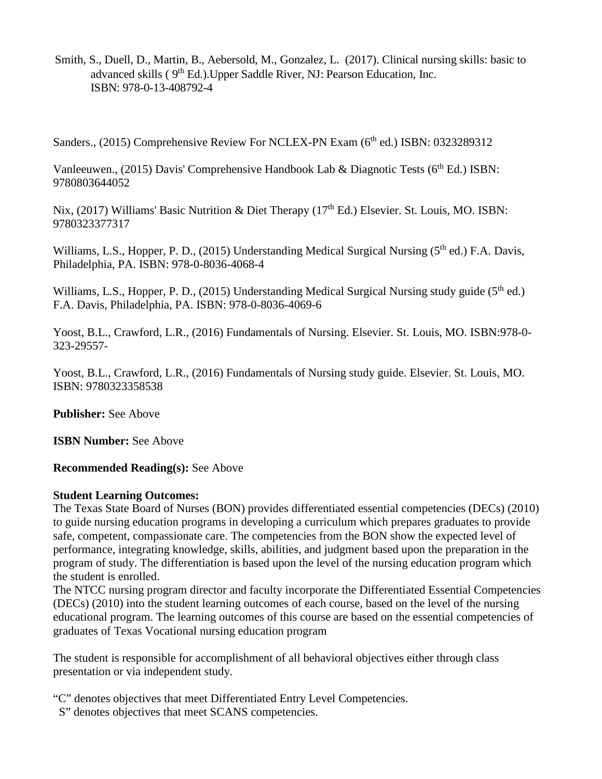Smith, S., Duell, D., Martin, B., Aebersold, M., Gonzalez, L. (2017). Clinical nursing skills: basic to advanced skills ( $9<sup>th</sup>$  Ed.).Upper Saddle River, NJ: Pearson Education, Inc. ISBN: 978-0-13-408792-4

Sanders., (2015) Comprehensive Review For NCLEX-PN Exam (6<sup>th</sup> ed.) ISBN: 0323289312

Vanleeuwen., (2015) Davis' Comprehensive Handbook Lab & Diagnotic Tests ( $6<sup>th</sup> Ed$ .) ISBN: 9780803644052

Nix, (2017) Williams' Basic Nutrition & Diet Therapy (17<sup>th</sup> Ed.) Elsevier. St. Louis, MO. ISBN: 9780323377317

Williams, L.S., Hopper, P. D., (2015) Understanding Medical Surgical Nursing (5<sup>th</sup> ed.) F.A. Davis, Philadelphia, PA. ISBN: 978-0-8036-4068-4

Williams, L.S., Hopper, P. D., (2015) Understanding Medical Surgical Nursing study guide (5<sup>th</sup> ed.) F.A. Davis, Philadelphia, PA. ISBN: 978-0-8036-4069-6

Yoost, B.L., Crawford, L.R., (2016) Fundamentals of Nursing. Elsevier. St. Louis, MO. ISBN:978-0- 323-29557-

Yoost, B.L., Crawford, L.R., (2016) Fundamentals of Nursing study guide. Elsevier. St. Louis, MO. ISBN: 9780323358538

**Publisher:** See Above

**ISBN Number:** See Above

**Recommended Reading(s):** See Above

### **Student Learning Outcomes:**

The Texas State Board of Nurses (BON) provides differentiated essential competencies (DECs) (2010) to guide nursing education programs in developing a curriculum which prepares graduates to provide safe, competent, compassionate care. The competencies from the BON show the expected level of performance, integrating knowledge, skills, abilities, and judgment based upon the preparation in the program of study. The differentiation is based upon the level of the nursing education program which the student is enrolled.

The NTCC nursing program director and faculty incorporate the Differentiated Essential Competencies (DECs) (2010) into the student learning outcomes of each course, based on the level of the nursing educational program. The learning outcomes of this course are based on the essential competencies of graduates of Texas Vocational nursing education program

The student is responsible for accomplishment of all behavioral objectives either through class presentation or via independent study.

"C" denotes objectives that meet Differentiated Entry Level Competencies.

S" denotes objectives that meet SCANS competencies.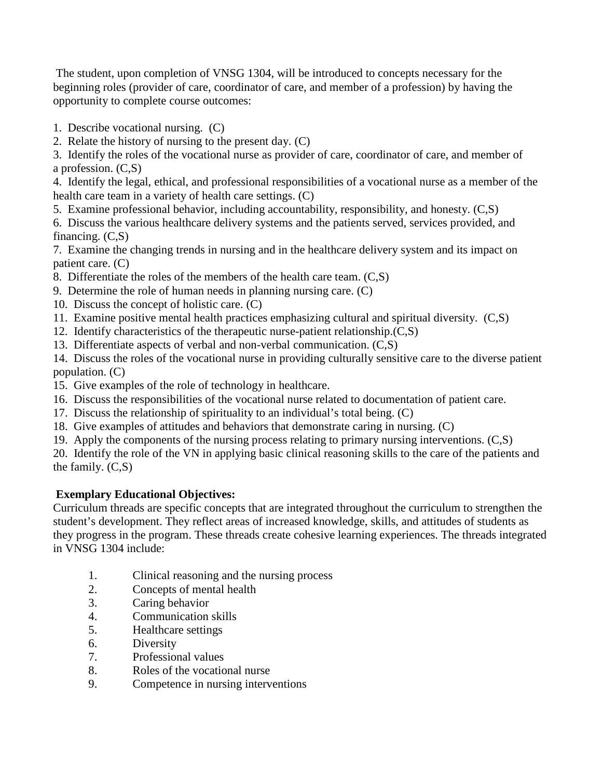The student, upon completion of VNSG 1304, will be introduced to concepts necessary for the beginning roles (provider of care, coordinator of care, and member of a profession) by having the opportunity to complete course outcomes:

- 1. Describe vocational nursing. (C)
- 2. Relate the history of nursing to the present day. (C)

3. Identify the roles of the vocational nurse as provider of care, coordinator of care, and member of a profession. (C,S)

4. Identify the legal, ethical, and professional responsibilities of a vocational nurse as a member of the health care team in a variety of health care settings. (C)

- 5. Examine professional behavior, including accountability, responsibility, and honesty. (C,S)
- 6. Discuss the various healthcare delivery systems and the patients served, services provided, and financing.  $(C, S)$

7. Examine the changing trends in nursing and in the healthcare delivery system and its impact on patient care. (C)

- 8. Differentiate the roles of the members of the health care team. (C,S)
- 9. Determine the role of human needs in planning nursing care. (C)
- 10. Discuss the concept of holistic care. (C)
- 11. Examine positive mental health practices emphasizing cultural and spiritual diversity. (C,S)
- 12. Identify characteristics of the therapeutic nurse-patient relationship.(C,S)
- 13. Differentiate aspects of verbal and non-verbal communication. (C,S)

14. Discuss the roles of the vocational nurse in providing culturally sensitive care to the diverse patient population. (C)

- 15. Give examples of the role of technology in healthcare.
- 16. Discuss the responsibilities of the vocational nurse related to documentation of patient care.
- 17. Discuss the relationship of spirituality to an individual's total being. (C)
- 18. Give examples of attitudes and behaviors that demonstrate caring in nursing. (C)
- 19. Apply the components of the nursing process relating to primary nursing interventions. (C,S)

20. Identify the role of the VN in applying basic clinical reasoning skills to the care of the patients and the family.  $(C, S)$ 

## **Exemplary Educational Objectives:**

Curriculum threads are specific concepts that are integrated throughout the curriculum to strengthen the student's development. They reflect areas of increased knowledge, skills, and attitudes of students as they progress in the program. These threads create cohesive learning experiences. The threads integrated in VNSG 1304 include:

- 1. Clinical reasoning and the nursing process
- 2. Concepts of mental health
- 3. Caring behavior
- 4. Communication skills
- 5. Healthcare settings
- 6. Diversity
- 7. Professional values
- 8. Roles of the vocational nurse
- 9. Competence in nursing interventions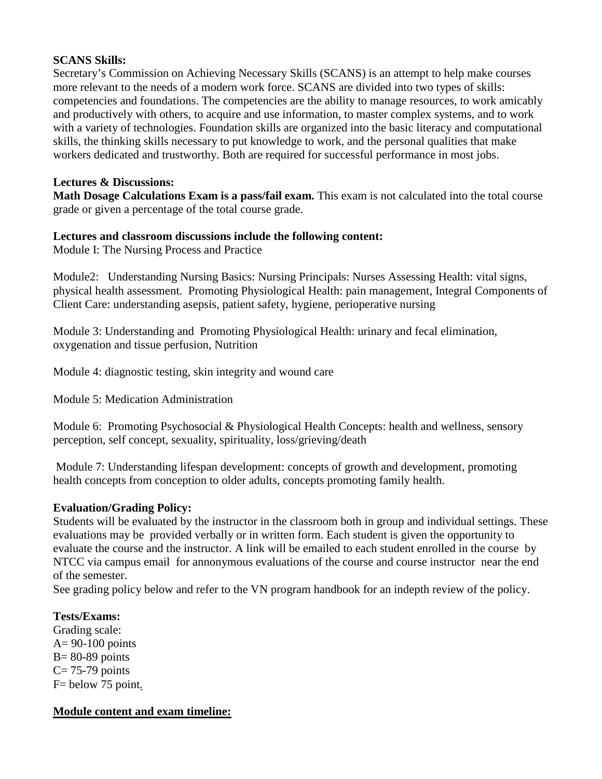## **SCANS Skills:**

Secretary's Commission on Achieving Necessary Skills (SCANS) is an attempt to help make courses more relevant to the needs of a modern work force. SCANS are divided into two types of skills: competencies and foundations. The competencies are the ability to manage resources, to work amicably and productively with others, to acquire and use information, to master complex systems, and to work with a variety of technologies. Foundation skills are organized into the basic literacy and computational skills, the thinking skills necessary to put knowledge to work, and the personal qualities that make workers dedicated and trustworthy. Both are required for successful performance in most jobs.

## **Lectures & Discussions:**

**Math Dosage Calculations Exam is a pass/fail exam.** This exam is not calculated into the total course grade or given a percentage of the total course grade.

## **Lectures and classroom discussions include the following content:**

Module I: The Nursing Process and Practice

Module2: Understanding Nursing Basics: Nursing Principals: Nurses Assessing Health: vital signs, physical health assessment. Promoting Physiological Health: pain management, Integral Components of Client Care: understanding asepsis, patient safety, hygiene, perioperative nursing

Module 3: Understanding and Promoting Physiological Health: urinary and fecal elimination, oxygenation and tissue perfusion, Nutrition

Module 4: diagnostic testing, skin integrity and wound care

Module 5: Medication Administration

Module 6: Promoting Psychosocial & Physiological Health Concepts: health and wellness, sensory perception, self concept, sexuality, spirituality, loss/grieving/death

Module 7: Understanding lifespan development: concepts of growth and development, promoting health concepts from conception to older adults, concepts promoting family health.

## **Evaluation/Grading Policy:**

Students will be evaluated by the instructor in the classroom both in group and individual settings. These evaluations may be provided verbally or in written form. Each student is given the opportunity to evaluate the course and the instructor. A link will be emailed to each student enrolled in the course by NTCC via campus email for annonymous evaluations of the course and course instructor near the end of the semester.

See grading policy below and refer to the VN program handbook for an indepth review of the policy.

## **Tests/Exams:**

Grading scale:  $A= 90-100$  points  $B = 80-89$  points  $C = 75-79$  points F= below 75 point*.*

## **Module content and exam timeline:**